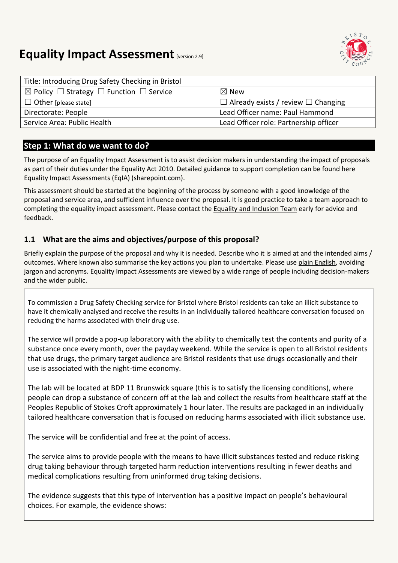# **Equality Impact Assessment [version 2.9]**



| Title: Introducing Drug Safety Checking in Bristol                |                                                |
|-------------------------------------------------------------------|------------------------------------------------|
| $\boxtimes$ Policy $\Box$ Strategy $\Box$ Function $\Box$ Service | $\boxtimes$ New                                |
| $\Box$ Other [please state]                                       | $\Box$ Already exists / review $\Box$ Changing |
| Directorate: People                                               | Lead Officer name: Paul Hammond                |
| Service Area: Public Health                                       | Lead Officer role: Partnership officer         |

## **Step 1: What do we want to do?**

The purpose of an Equality Impact Assessment is to assist decision makers in understanding the impact of proposals as part of their duties under the Equality Act 2010. Detailed guidance to support completion can be found here [Equality Impact Assessments \(EqIA\) \(sharepoint.com\).](https://bristolcouncil.sharepoint.com/sites/Corporate/SitePages/equality-impact-assessments.aspx) 

This assessment should be started at the beginning of the process by someone with a good knowledge of the proposal and service area, and sufficient influence over the proposal. It is good practice to take a team approach to completing the equality impact assessment. Please contact the [Equality and Inclusion Team](mailto:equalities.team@bristol.gov.uk) early for advice and feedback.

### **1.1 What are the aims and objectives/purpose of this proposal?**

Briefly explain the purpose of the proposal and why it is needed. Describe who it is aimed at and the intended aims / outcomes. Where known also summarise the key actions you plan to undertake. Please us[e plain English,](http://www.plainenglish.co.uk/) avoiding jargon and acronyms. Equality Impact Assessments are viewed by a wide range of people including decision-makers and the wider public.

To commission a Drug Safety Checking service for Bristol where Bristol residents can take an illicit substance to have it chemically analysed and receive the results in an individually tailored healthcare conversation focused on reducing the harms associated with their drug use.

The service will provide a pop-up laboratory with the ability to chemically test the contents and purity of a substance once every month, over the payday weekend. While the service is open to all Bristol residents that use drugs, the primary target audience are Bristol residents that use drugs occasionally and their use is associated with the night-time economy.

The lab will be located at BDP 11 Brunswick square (this is to satisfy the licensing conditions), where people can drop a substance of concern off at the lab and collect the results from healthcare staff at the Peoples Republic of Stokes Croft approximately 1 hour later. The results are packaged in an individually tailored healthcare conversation that is focused on reducing harms associated with illicit substance use.

The service will be confidential and free at the point of access.

The service aims to provide people with the means to have illicit substances tested and reduce risking drug taking behaviour through targeted harm reduction interventions resulting in fewer deaths and medical complications resulting from uninformed drug taking decisions.

The evidence suggests that this type of intervention has a positive impact on people's behavioural choices. For example, the evidence shows: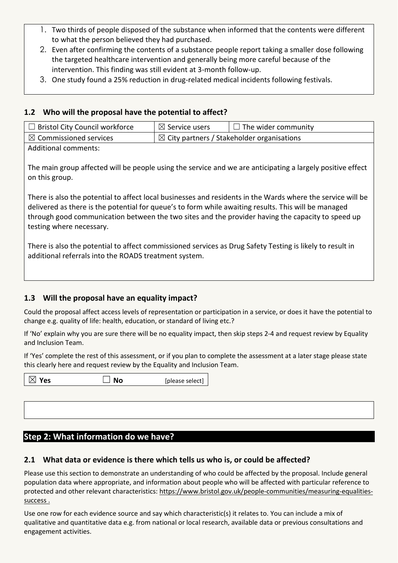- 1. Two thirds of people disposed of the substance when informed that the contents were different to what the person believed they had purchased.
- 2. Even after confirming the contents of a substance people report taking a smaller dose following the targeted healthcare intervention and generally being more careful because of the intervention. This finding was still evident at 3-month follow-up.
- 3. One study found a 25% reduction in drug-related medical incidents following festivals.

#### **1.2 Who will the proposal have the potential to affect?**

| $\Box$ Bristol City Council workforce | $\boxtimes$ Service users                             | $\Box$ The wider community |
|---------------------------------------|-------------------------------------------------------|----------------------------|
| $\boxtimes$ Commissioned services     | $\boxtimes$ City partners / Stakeholder organisations |                            |

Additional comments:

The main group affected will be people using the service and we are anticipating a largely positive effect on this group.

There is also the potential to affect local businesses and residents in the Wards where the service will be delivered as there is the potential for queue's to form while awaiting results. This will be managed through good communication between the two sites and the provider having the capacity to speed up testing where necessary.

There is also the potential to affect commissioned services as Drug Safety Testing is likely to result in additional referrals into the ROADS treatment system.

#### **1.3 Will the proposal have an equality impact?**

Could the proposal affect access levels of representation or participation in a service, or does it have the potential to change e.g. quality of life: health, education, or standard of living etc.?

If 'No' explain why you are sure there will be no equality impact, then skip steps 2-4 and request review by Equality and Inclusion Team.

If 'Yes' complete the rest of this assessment, or if you plan to complete the assessment at a later stage please state this clearly here and request review by the [Equality and Inclusion Team.](mailto:equalities.team@bristol.gov.uk)

| $\boxtimes$ Yes | <b>No</b> | [please select] |  |
|-----------------|-----------|-----------------|--|
|                 |           |                 |  |
|                 |           |                 |  |
|                 |           |                 |  |

#### **Step 2: What information do we have?**

#### **2.1 What data or evidence is there which tells us who is, or could be affected?**

Please use this section to demonstrate an understanding of who could be affected by the proposal. Include general population data where appropriate, and information about people who will be affected with particular reference to protected and other relevant characteristics: [https://www.bristol.gov.uk/people-communities/measuring-equalities](https://www.bristol.gov.uk/people-communities/measuring-equalities-success)[success](https://www.bristol.gov.uk/people-communities/measuring-equalities-success) .

Use one row for each evidence source and say which characteristic(s) it relates to. You can include a mix of qualitative and quantitative data e.g. from national or local research, available data or previous consultations and engagement activities.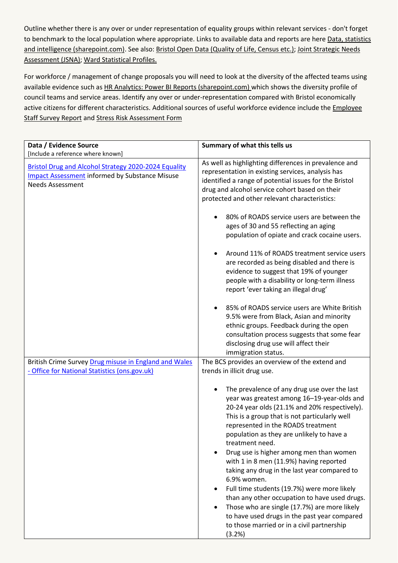Outline whether there is any over or under representation of equality groups within relevant services - don't forget to benchmark to the local population where appropriate. Links to available data and reports are here Data, statistics [and intelligence \(sharepoint.com\).](https://bristolcouncil.sharepoint.com/sites/Corporate/SitePages/data-statistics-and-intelligence.aspx) See also: [Bristol Open Data \(Quality of Life, Census etc.\);](https://bristol.opendatasoft.com/explore/?sort=modified&q=equalities) Joint Strategic Needs [Assessment](https://www.bristol.gov.uk/policies-plans-strategies/joint-strategic-needs-assessment) (JSNA); [Ward Statistical Profiles.](https://www.bristol.gov.uk/statistics-census-information/new-wards-data-profiles)

For workforce / management of change proposals you will need to look at the diversity of the affected teams using available evidence such as [HR Analytics: Power BI Reports \(sharepoint.com\)](https://eur03.safelinks.protection.outlook.com/?url=https%3A%2F%2Fbristolcouncil.sharepoint.com%2Fsites%2FHR%2FSitePages%2Fhr-reports.aspx&data=04%7C01%7C%7C90358974d66d41257ac108d8deebfdde%7C6378a7a50f214482aee0897eb7de331f%7C0%7C0%7C637504452456282778%7CUnknown%7CTWFpbGZsb3d8eyJWIjoiMC4wLjAwMDAiLCJQIjoiV2luMzIiLCJBTiI6Ik1haWwiLCJXVCI6Mn0%3D%7C1000&sdata=6kXYSnoOXQ1Yn%2Be9ZRGlZULZJYwfQ3jygxGLOPN%2BccU%3D&reserved=0) which shows the diversity profile of council teams and service areas. Identify any over or under-representation compared with Bristol economically active citizens for different characteristics. Additional sources of useful workforce evidence include the Employee [Staff Survey Report](https://bristolcouncil.sharepoint.com/sites/HR/SitePages/hr-reports.aspx) and [Stress Risk Assessment Form](https://bristolcouncil.sharepoint.com/:w:/r/sites/HealthSafetyandWellbeing/_layouts/15/Doc.aspx?sourcedoc=%7B813AE494-A25E-4C9C-A7F7-1F6A48883800%7D&file=Stress%20risk%20assessment%20form.doc&action=default&mobileredirect=true&DefaultItemOpen=1)

| Data / Evidence Source                                                                                                                          | Summary of what this tells us                                                                                                                                                                                                                                                                                                                                                                                                                                                                                                                                                                                                                                                                                                 |
|-------------------------------------------------------------------------------------------------------------------------------------------------|-------------------------------------------------------------------------------------------------------------------------------------------------------------------------------------------------------------------------------------------------------------------------------------------------------------------------------------------------------------------------------------------------------------------------------------------------------------------------------------------------------------------------------------------------------------------------------------------------------------------------------------------------------------------------------------------------------------------------------|
| [Include a reference where known]                                                                                                               |                                                                                                                                                                                                                                                                                                                                                                                                                                                                                                                                                                                                                                                                                                                               |
| <b>Bristol Drug and Alcohol Strategy 2020-2024 Equality</b><br><b>Impact Assessment informed by Substance Misuse</b><br><b>Needs Assessment</b> | As well as highlighting differences in prevalence and<br>representation in existing services, analysis has<br>identified a range of potential issues for the Bristol<br>drug and alcohol service cohort based on their<br>protected and other relevant characteristics:                                                                                                                                                                                                                                                                                                                                                                                                                                                       |
|                                                                                                                                                 | 80% of ROADS service users are between the<br>ages of 30 and 55 reflecting an aging<br>population of opiate and crack cocaine users.                                                                                                                                                                                                                                                                                                                                                                                                                                                                                                                                                                                          |
|                                                                                                                                                 | Around 11% of ROADS treatment service users<br>are recorded as being disabled and there is<br>evidence to suggest that 19% of younger<br>people with a disability or long-term illness<br>report 'ever taking an illegal drug'                                                                                                                                                                                                                                                                                                                                                                                                                                                                                                |
|                                                                                                                                                 | 85% of ROADS service users are White British<br>9.5% were from Black, Asian and minority<br>ethnic groups. Feedback during the open<br>consultation process suggests that some fear<br>disclosing drug use will affect their<br>immigration status.                                                                                                                                                                                                                                                                                                                                                                                                                                                                           |
| British Crime Survey Drug misuse in England and Wales                                                                                           | The BCS provides an overview of the extend and                                                                                                                                                                                                                                                                                                                                                                                                                                                                                                                                                                                                                                                                                |
| - Office for National Statistics (ons.gov.uk)                                                                                                   | trends in illicit drug use.                                                                                                                                                                                                                                                                                                                                                                                                                                                                                                                                                                                                                                                                                                   |
|                                                                                                                                                 | The prevalence of any drug use over the last<br>year was greatest among 16-19-year-olds and<br>20-24 year olds (21.1% and 20% respectively).<br>This is a group that is not particularly well<br>represented in the ROADS treatment<br>population as they are unlikely to have a<br>treatment need.<br>Drug use is higher among men than women<br>with 1 in 8 men (11.9%) having reported<br>taking any drug in the last year compared to<br>6.9% women.<br>Full time students (19.7%) were more likely<br>$\bullet$<br>than any other occupation to have used drugs.<br>Those who are single (17.7%) are more likely<br>to have used drugs in the past year compared<br>to those married or in a civil partnership<br>(3.2%) |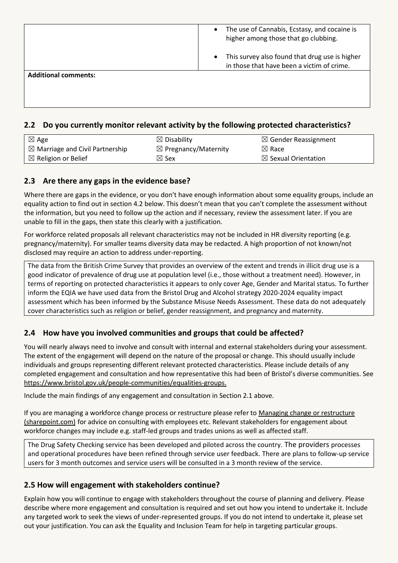|                             | The use of Cannabis, Ecstasy, and cocaine is<br>$\bullet$<br>higher among those that go clubbing.         |
|-----------------------------|-----------------------------------------------------------------------------------------------------------|
|                             | This survey also found that drug use is higher<br>$\bullet$<br>in those that have been a victim of crime. |
| <b>Additional comments:</b> |                                                                                                           |
|                             |                                                                                                           |
|                             |                                                                                                           |

#### **2.2 Do you currently monitor relevant activity by the following protected characteristics?**

| $\boxtimes$ Age                            | $\boxtimes$ Disability          | $\boxtimes$ Gender Reassignment |
|--------------------------------------------|---------------------------------|---------------------------------|
| $\boxtimes$ Marriage and Civil Partnership | $\boxtimes$ Pregnancy/Maternity | $\boxtimes$ Race                |
| $\boxtimes$ Religion or Belief             | $\boxtimes$ Sex                 | $\boxtimes$ Sexual Orientation  |

#### **2.3 Are there any gaps in the evidence base?**

Where there are gaps in the evidence, or you don't have enough information about some equality groups, include an equality action to find out in section 4.2 below. This doesn't mean that you can't complete the assessment without the information, but you need to follow up the action and if necessary, review the assessment later. If you are unable to fill in the gaps, then state this clearly with a justification.

For workforce related proposals all relevant characteristics may not be included in HR diversity reporting (e.g. pregnancy/maternity). For smaller teams diversity data may be redacted. A high proportion of not known/not disclosed may require an action to address under-reporting.

The data from the British Crime Survey that provides an overview of the extent and trends in illicit drug use is a good indicator of prevalence of drug use at population level (i.e., those without a treatment need). However, in terms of reporting on protected characteristics it appears to only cover Age, Gender and Marital status. To further inform the EQIA we have used data from the Bristol Drug and Alcohol strategy 2020-2024 equality impact assessment which has been informed by the Substance Misuse Needs Assessment. These data do not adequately cover characteristics such as religion or belief, gender reassignment, and pregnancy and maternity.

#### **2.4 How have you involved communities and groups that could be affected?**

You will nearly always need to involve and consult with internal and external stakeholders during your assessment. The extent of the engagement will depend on the nature of the proposal or change. This should usually include individuals and groups representing different relevant protected characteristics. Please include details of any completed engagement and consultation and how representative this had been of Bristol's diverse communities. See [https://www.bristol.gov.uk/people-communities/equalities-groups.](https://www.bristol.gov.uk/people-communities/equalities-groups)

Include the main findings of any engagement and consultation in Section 2.1 above.

If you are managing a workforce change process or restructure please refer to Managing change or restructure [\(sharepoint.com\)](https://bristolcouncil.sharepoint.com/sites/HR/SitePages/managing-change-or-restructure.aspx) for advice on consulting with employees etc. Relevant stakeholders for engagement about workforce changes may include e.g. staff-led groups and trades unions as well as affected staff.

The Drug Safety Checking service has been developed and piloted across the country. The providers processes and operational procedures have been refined through service user feedback. There are plans to follow-up service users for 3 month outcomes and service users will be consulted in a 3 month review of the service.

#### **2.5 How will engagement with stakeholders continue?**

Explain how you will continue to engage with stakeholders throughout the course of planning and delivery. Please describe where more engagement and consultation is required and set out how you intend to undertake it. Include any targeted work to seek the views of under-represented groups. If you do not intend to undertake it, please set out your justification. You can ask the Equality and Inclusion Team for help in targeting particular groups.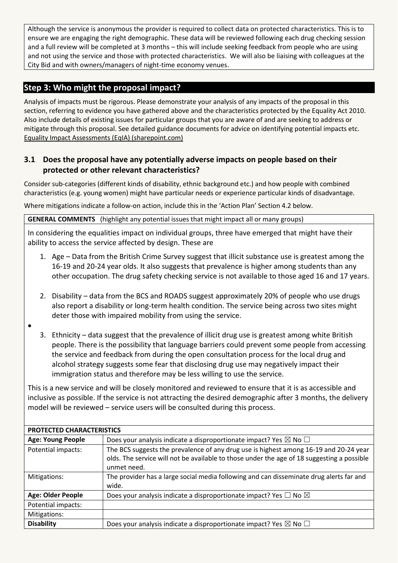Although the service is anonymous the provider is required to collect data on protected characteristics. This is to ensure we are engaging the right demographic. These data will be reviewed following each drug checking session and a full review will be completed at 3 months – this will include seeking feedback from people who are using and not using the service and those with protected characteristics. We will also be liaising with colleagues at the City Bid and with owners/managers of night-time economy venues.

# **Step 3: Who might the proposal impact?**

Analysis of impacts must be rigorous. Please demonstrate your analysis of any impacts of the proposal in this section, referring to evidence you have gathered above and the characteristics protected by the Equality Act 2010. Also include details of existing issues for particular groups that you are aware of and are seeking to address or mitigate through this proposal. See detailed guidance documents for advice on identifying potential impacts etc. [Equality Impact Assessments \(EqIA\) \(sharepoint.com\)](https://bristolcouncil.sharepoint.com/sites/Corporate/SitePages/equality-impact-assessments.aspx)

#### **3.1 Does the proposal have any potentially adverse impacts on people based on their protected or other relevant characteristics?**

Consider sub-categories (different kinds of disability, ethnic background etc.) and how people with combined characteristics (e.g. young women) might have particular needs or experience particular kinds of disadvantage.

Where mitigations indicate a follow-on action, include this in the 'Action Plan' Section 4.2 below.

**GENERAL COMMENTS** (highlight any potential issues that might impact all or many groups)

In considering the equalities impact on individual groups, three have emerged that might have their ability to access the service affected by design. These are

- 1. Age Data from the British Crime Survey suggest that illicit substance use is greatest among the 16-19 and 20-24 year olds. It also suggests that prevalence is higher among students than any other occupation. The drug safety checking service is not available to those aged 16 and 17 years.
- 2. Disability data from the BCS and ROADS suggest approximately 20% of people who use drugs also report a disability or long-term health condition. The service being across two sites might deter those with impaired mobility from using the service.
- $\bullet$
- 3. Ethnicity data suggest that the prevalence of illicit drug use is greatest among white British people. There is the possibility that language barriers could prevent some people from accessing the service and feedback from during the open consultation process for the local drug and alcohol strategy suggests some fear that disclosing drug use may negatively impact their immigration status and therefore may be less willing to use the service.

This is a new service and will be closely monitored and reviewed to ensure that it is as accessible and inclusive as possible. If the service is not attracting the desired demographic after 3 months, the delivery model will be reviewed – service users will be consulted during this process.

| <b>PROTECTED CHARACTERISTICS</b> |                                                                                                                                                                                                    |  |
|----------------------------------|----------------------------------------------------------------------------------------------------------------------------------------------------------------------------------------------------|--|
| <b>Age: Young People</b>         | Does your analysis indicate a disproportionate impact? Yes $\boxtimes$ No $\Box$                                                                                                                   |  |
| Potential impacts:               | The BCS suggests the prevalence of any drug use is highest among 16-19 and 20-24 year<br>olds. The service will not be available to those under the age of 18 suggesting a possible<br>unmet need. |  |
| Mitigations:                     | The provider has a large social media following and can disseminate drug alerts far and<br>wide.                                                                                                   |  |
| <b>Age: Older People</b>         | Does your analysis indicate a disproportionate impact? Yes $\Box$ No $\boxtimes$                                                                                                                   |  |
| Potential impacts:               |                                                                                                                                                                                                    |  |
| Mitigations:                     |                                                                                                                                                                                                    |  |
| <b>Disability</b>                | Does your analysis indicate a disproportionate impact? Yes $\boxtimes$ No $\Box$                                                                                                                   |  |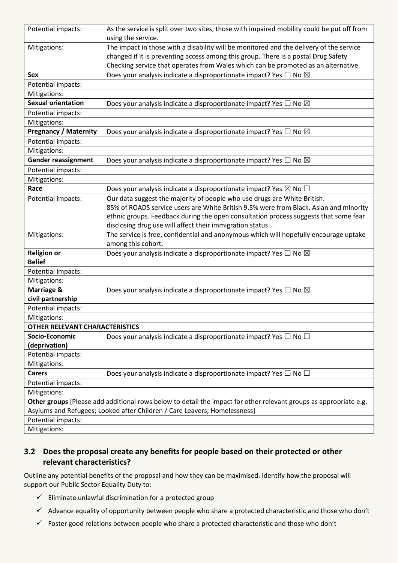| Potential impacts:                    | As the service is split over two sites, those with impaired mobility could be put off from                        |
|---------------------------------------|-------------------------------------------------------------------------------------------------------------------|
|                                       | using the service.                                                                                                |
| Mitigations:                          | The impact in those with a disability will be monitored and the delivery of the service                           |
|                                       | changed if it is preventing access among this group. There is a postal Drug Safety                                |
|                                       | Checking service that operates from Wales which can be promoted as an alternative.                                |
| <b>Sex</b>                            | Does your analysis indicate a disproportionate impact? Yes $\Box$ No $\boxtimes$                                  |
| Potential impacts:                    |                                                                                                                   |
| Mitigations:                          |                                                                                                                   |
| <b>Sexual orientation</b>             | Does your analysis indicate a disproportionate impact? Yes $\Box$ No $\boxtimes$                                  |
| Potential impacts:                    |                                                                                                                   |
| Mitigations:                          |                                                                                                                   |
| <b>Pregnancy / Maternity</b>          | Does your analysis indicate a disproportionate impact? Yes $\Box$ No $\boxtimes$                                  |
| Potential impacts:                    |                                                                                                                   |
| Mitigations:                          |                                                                                                                   |
| <b>Gender reassignment</b>            | Does your analysis indicate a disproportionate impact? Yes $\Box$ No $\boxtimes$                                  |
| Potential impacts:                    |                                                                                                                   |
| Mitigations:                          |                                                                                                                   |
| Race                                  | Does your analysis indicate a disproportionate impact? Yes $\boxtimes$ No $\Box$                                  |
| Potential impacts:                    | Our data suggest the majority of people who use drugs are White British.                                          |
|                                       | 85% of ROADS service users are White British 9.5% were from Black, Asian and minority                             |
|                                       | ethnic groups. Feedback during the open consultation process suggests that some fear                              |
|                                       | disclosing drug use will affect their immigration status.                                                         |
| Mitigations:                          | The service is free, confidential and anonymous which will hopefully encourage uptake                             |
|                                       | among this cohort.                                                                                                |
| <b>Religion or</b>                    | Does your analysis indicate a disproportionate impact? Yes $\Box$ No $\boxtimes$                                  |
| <b>Belief</b>                         |                                                                                                                   |
| Potential impacts:                    |                                                                                                                   |
| Mitigations:                          |                                                                                                                   |
| Marriage &                            | Does your analysis indicate a disproportionate impact? Yes $\Box$ No $\boxtimes$                                  |
| civil partnership                     |                                                                                                                   |
| Potential impacts:                    |                                                                                                                   |
| Mitigations:                          |                                                                                                                   |
| <b>OTHER RELEVANT CHARACTERISTICS</b> |                                                                                                                   |
| Socio-Economic                        | Does your analysis indicate a disproportionate impact? Yes $\Box$ No $\Box$                                       |
| (deprivation)                         |                                                                                                                   |
| Potential impacts:                    |                                                                                                                   |
| Mitigations:                          |                                                                                                                   |
| <b>Carers</b>                         | Does your analysis indicate a disproportionate impact? Yes $\Box$ No $\Box$                                       |
| Potential impacts:                    |                                                                                                                   |
| Mitigations:                          |                                                                                                                   |
|                                       | Other groups [Please add additional rows below to detail the impact for other relevant groups as appropriate e.g. |
|                                       | Asylums and Refugees; Looked after Children / Care Leavers; Homelessness]                                         |
| Potential impacts:                    |                                                                                                                   |
| Mitigations:                          |                                                                                                                   |

## **3.2 Does the proposal create any benefits for people based on their protected or other relevant characteristics?**

Outline any potential benefits of the proposal and how they can be maximised. Identify how the proposal will support our [Public Sector Equality Duty](https://www.equalityhumanrights.com/en/advice-and-guidance/public-sector-equality-duty) to:

- $\checkmark$  Eliminate unlawful discrimination for a protected group
- $\checkmark$  Advance equality of opportunity between people who share a protected characteristic and those who don't
- $\checkmark$  Foster good relations between people who share a protected characteristic and those who don't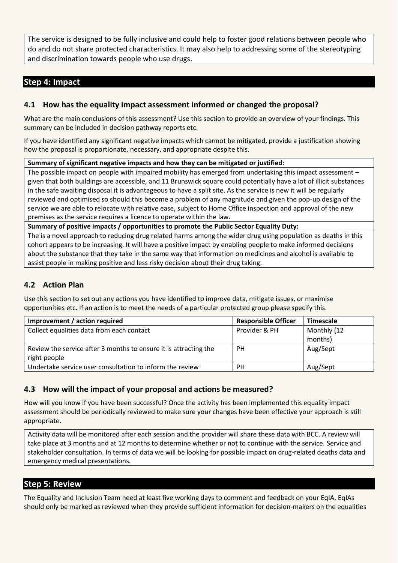The service is designed to be fully inclusive and could help to foster good relations between people who do and do not share protected characteristics. It may also help to addressing some of the stereotyping and discrimination towards people who use drugs.

## **Step 4: Impact**

#### **4.1 How has the equality impact assessment informed or changed the proposal?**

What are the main conclusions of this assessment? Use this section to provide an overview of your findings. This summary can be included in decision pathway reports etc.

If you have identified any significant negative impacts which cannot be mitigated, provide a justification showing how the proposal is proportionate, necessary, and appropriate despite this.

**Summary of significant negative impacts and how they can be mitigated or justified:**

The possible impact on people with impaired mobility has emerged from undertaking this impact assessment – given that both buildings are accessible, and 11 Brunswick square could potentially have a lot of illicit substances in the safe awaiting disposal it is advantageous to have a split site. As the service is new it will be regularly reviewed and optimised so should this become a problem of any magnitude and given the pop-up design of the service we are able to relocate with relative ease, subject to Home Office inspection and approval of the new premises as the service requires a licence to operate within the law.

**Summary of positive impacts / opportunities to promote the Public Sector Equality Duty:**

The is a novel approach to reducing drug related harms among the wider drug using population as deaths in this cohort appears to be increasing. It will have a positive impact by enabling people to make informed decisions about the substance that they take in the same way that information on medicines and alcohol is available to assist people in making positive and less risky decision about their drug taking.

#### **4.2 Action Plan**

Use this section to set out any actions you have identified to improve data, mitigate issues, or maximise opportunities etc. If an action is to meet the needs of a particular protected group please specify this.

| Improvement / action required                                    | <b>Responsible Officer</b> | <b>Timescale</b> |
|------------------------------------------------------------------|----------------------------|------------------|
| Collect equalities data from each contact                        | Provider & PH              | Monthly (12      |
|                                                                  |                            | months)          |
| Review the service after 3 months to ensure it is attracting the | <b>PH</b>                  | Aug/Sept         |
| right people                                                     |                            |                  |
| Undertake service user consultation to inform the review         | <b>PH</b>                  | Aug/Sept         |

#### **4.3 How will the impact of your proposal and actions be measured?**

How will you know if you have been successful? Once the activity has been implemented this equality impact assessment should be periodically reviewed to make sure your changes have been effective your approach is still appropriate.

Activity data will be monitored after each session and the provider will share these data with BCC. A review will take place at 3 months and at 12 months to determine whether or not to continue with the service. Service and stakeholder consultation. In terms of data we will be looking for possible impact on drug-related deaths data and emergency medical presentations.

#### **Step 5: Review**

The Equality and Inclusion Team need at least five working days to comment and feedback on your EqIA. EqIAs should only be marked as reviewed when they provide sufficient information for decision-makers on the equalities